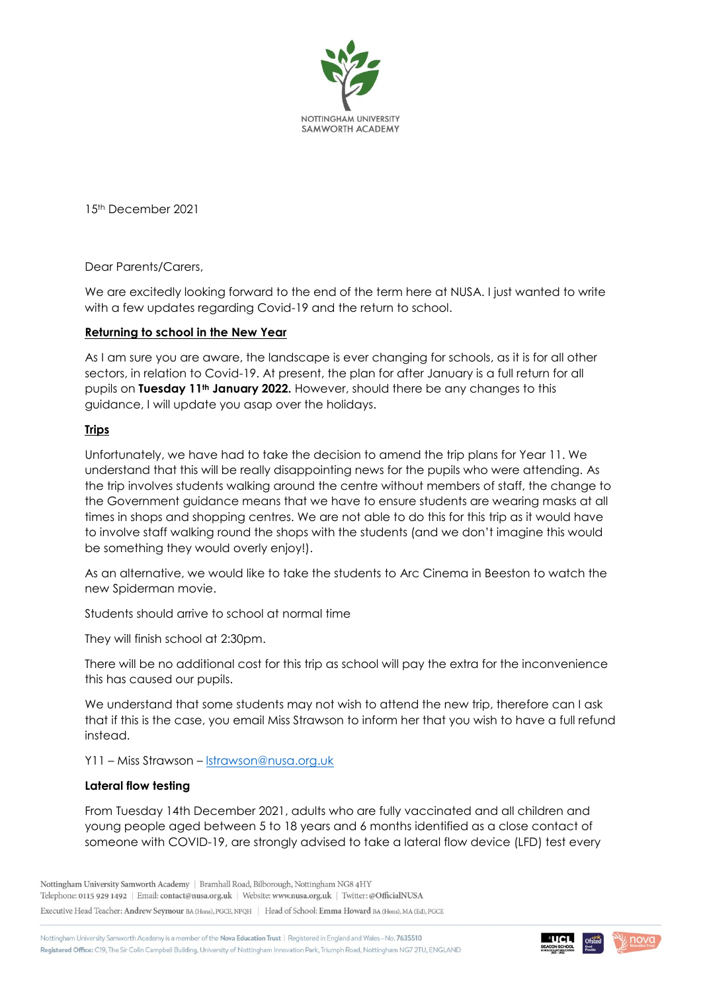

15th December 2021

Dear Parents/Carers,

We are excitedly looking forward to the end of the term here at NUSA. I just wanted to write with a few updates regarding Covid-19 and the return to school.

## **Returning to school in the New Year**

As I am sure you are aware, the landscape is ever changing for schools, as it is for all other sectors, in relation to Covid-19. At present, the plan for after January is a full return for all pupils on **Tuesday 11th January 2022.** However, should there be any changes to this guidance, I will update you asap over the holidays.

## **Trips**

Unfortunately, we have had to take the decision to amend the trip plans for Year 11. We understand that this will be really disappointing news for the pupils who were attending. As the trip involves students walking around the centre without members of staff, the change to the Government guidance means that we have to ensure students are wearing masks at all times in shops and shopping centres. We are not able to do this for this trip as it would have to involve staff walking round the shops with the students (and we don't imagine this would be something they would overly enjoy!).

As an alternative, we would like to take the students to Arc Cinema in Beeston to watch the new Spiderman movie.

Students should arrive to school at normal time

They will finish school at 2:30pm.

There will be no additional cost for this trip as school will pay the extra for the inconvenience this has caused our pupils.

We understand that some students may not wish to attend the new trip, therefore can I ask that if this is the case, you email Miss Strawson to inform her that you wish to have a full refund instead.

Y11 – Miss Strawson – [lstrawson@nusa.org.uk](mailto:lstrawson@nusa.org.uk)

## **Lateral flow testing**

From Tuesday 14th December 2021, adults who are fully vaccinated and all children and young people aged between 5 to 18 years and 6 months identified as a close contact of someone with COVID-19, are strongly advised to take a lateral flow device (LFD) test every

Nottingham University Samworth Academy | Bramhall Road, Bilborough, Nottingham NG8 4HY Telephone: 0115 929 1492 | Email: contact@nusa.org.uk | Website: www.nusa.org.uk | Twitter: @OfficialNUSA

Executive Head Teacher: Andrew Seymour BA (Hons), PGCE, NPQH | Head of School: Emma Howard BA (Hons), MA (Ed), PGCE

Nottingham University Samworth Academy is a member of the Nova Education Trust | Registered in England and Wales-No. 7635510 Registered Office: C19, The Sir Colin Campbell Building, University of Nottingham Innovation Park, Triumph Road, Nottingham NG7 2TU, ENGLAND